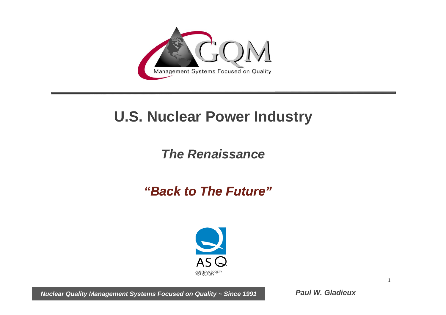

# **U.S. Nuclear Power Industry**

## *The Renaissance*

## *"Back to The Future"*



*Nuclear Quality Management Systems Focused on Quality ~ Since 1991*

*Paul W. Gladieux*

1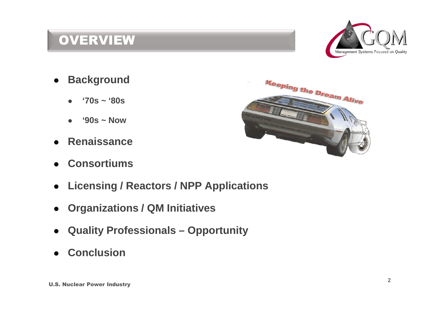## **OVERVIEW**



- **•** Background
	- **'70s ~ '80s**
	- **'90s ~ Now**
- **Renaissance**
- **Consortiums**
- **Licensing / Reactors / NPP Applications**
- **Organizations / QM Initiatives**
- **Quality Professionals Opportunity**
- **Conclusion**

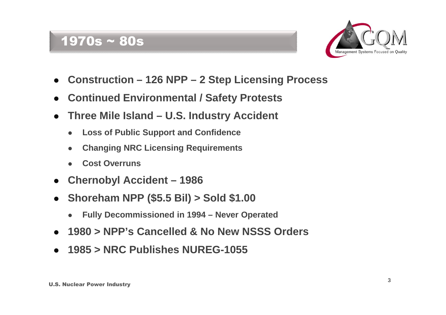### 1970s ~ 80s



- **Construction 126 NPP 2 Step Licensing Process**
- **Continued Environmental / Safety Protests**
- **Three Mile Island U.S. Industry Accident**
	- **Loss of Public Support and Confidence**
	- **Changing NRC Licensing Requirements**
	- **Cost Overruns**
- **Chernobyl Accident 1986**
- **Shoreham NPP (\$5.5 Bil) > Sold \$1.00**
	- **Fully Decommissioned in 1994 Never Operated**
- **1980 > NPP's Cancelled & No New NSSS Orders**
- **1985 > NRC Publishes NUREG-1055**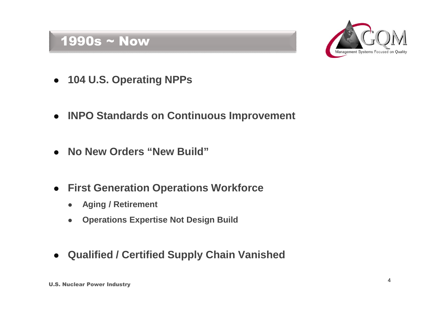### 1990s ~ Now



- **104 U.S. Operating NPPs**
- **INPO Standards on Continuous Improvement**
- **No New Orders "New Build"**
- **First Generation Operations Workforce**
	- **Aging / Retirement**
	- **Operations Expertise Not Design Build**
- **Qualified / Certified Supply Chain Vanished**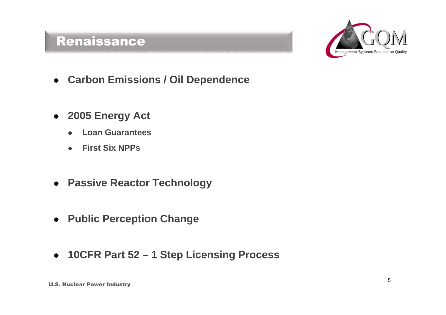## Renaissance



- **Carbon Emissions / Oil Dependence**
- **2005 Energy Act**
	- **Loan Guarantees**
	- **First Six NPPs**
- **Passive Reactor Technology**
- **Public Perception Change**
- **10CFR Part 52 1 Step Licensing Process**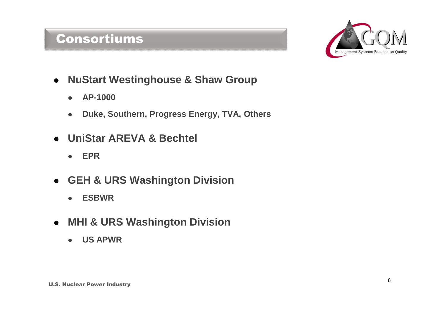### Consortiums



- **NuStart Westinghouse & Shaw Group**
	- **AP-1000**
	- **Duke, Southern, Progress Energy, TVA, Others**
- **UniStar AREVA & Bechtel**
	- **EPR**
- **GEH & URS Washington Division**
	- **ESBWR**
- **MHI & URS Washington Division**
	- **US APWR**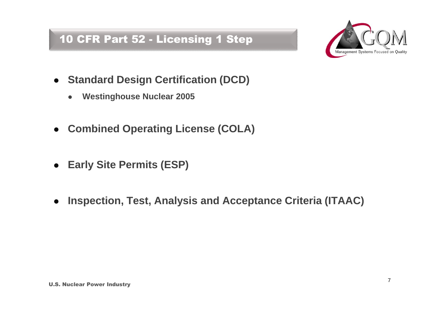### 10 CFR Part 52 - Licensing 1 Step



- **Standard Design Certification (DCD)** 
	- **Westinghouse Nuclear 2005**
- **Combined Operating License (COLA)**
- **Early Site Permits (ESP)**
- **Inspection, Test, Analysis and Acceptance Criteria (ITAAC)**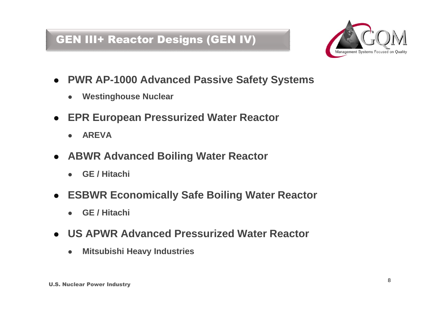### GEN III+ Reactor Designs (GEN IV)



- **PWR AP-1000 Advanced Passive Safety Systems**
	- **Westinghouse Nuclear**
- **EPR European Pressurized Water Reactor**
	- **AREVA**
- **ABWR Advanced Boiling Water Reactor**
	- **GE / Hitachi**
- **ESBWR Economically Safe Boiling Water Reactor**
	- **GE / Hitachi**
- **US APWR Advanced Pressurized Water Reactor**
	- **Mitsubishi Heavy Industries**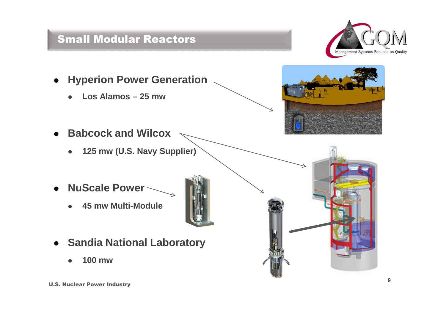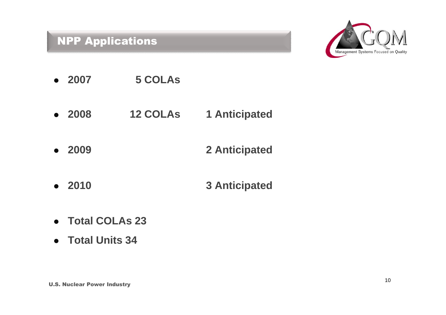### NPP Applications



- **2007 5 COLAs**
- **2008 12 COLAs 1 Anticipated**
- **2009 2 Anticipated**
- **2010 3 Anticipated**
- **Total COLAs 23**
- **Total Units 34**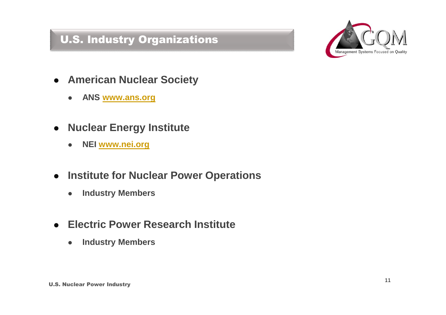## U.S. Industry Organizations



- **American Nuclear Society**
	- **ANS www.ans.org**
- **Nuclear Energy Institute**
	- **NEI www.nei.org**
- **Institute for Nuclear Power Operations**
	- **Industry Members**
- **Electric Power Research Institute**
	- **Industry Members**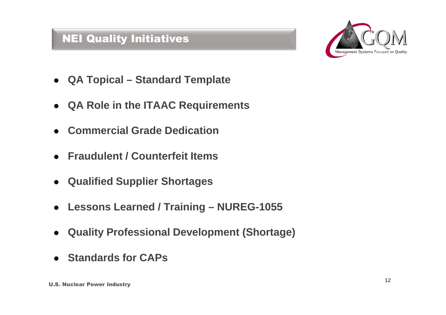#### NEI Quality Initiatives



- **QA Topical Standard Template**
- **QA Role in the ITAAC Requirements**
- **Commercial Grade Dedication**
- **Fraudulent / Counterfeit Items**
- **Qualified Supplier Shortages**
- **Lessons Learned / Training NUREG-1055**
- **Quality Professional Development (Shortage)**
- **Standards for CAPs**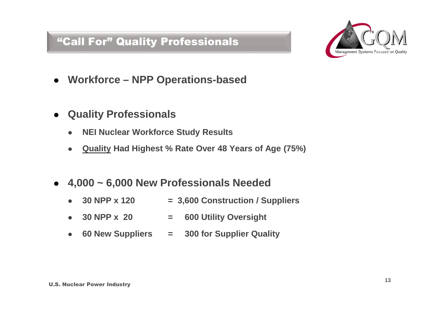#### "Call For" Quality Professionals



- **Workforce NPP Operations-based**
- **Quality Professionals**
	- **NEI Nuclear Workforce Study Results**
	- **Quality Had Highest % Rate Over 48 Years of Age (75%)**
- **4,000 ~ 6,000 New Professionals Needed**
	- **30 NPP x 120 = 3,600 Construction / Suppliers**
	- **30 NPP x 20 = 600 Utility Oversight**
	- **60 New Suppliers = 300 for Supplier Quality**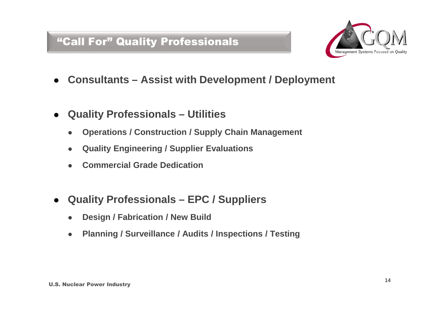#### "Call For" Quality Professionals



- **Consultants Assist with Development / Deployment**
- **Quality Professionals Utilities**
	- **Operations / Construction / Supply Chain Management**
	- **Quality Engineering / Supplier Evaluations**
	- **Commercial Grade Dedication**
- **Quality Professionals EPC / Suppliers**
	- **Design / Fabrication / New Build**
	- **Planning / Surveillance / Audits / Inspections / Testing**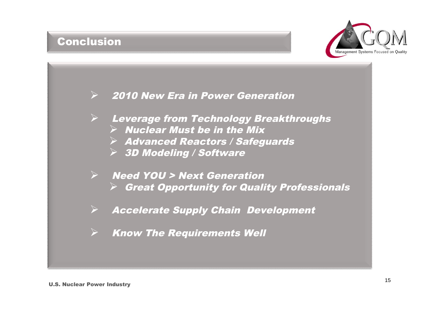#### **Conclusion**



**► 2010 New Era in Power Generation** 

- Leverage from Technology Breakthroughs
	- $\triangleright$  Nuclear Must be in the Mix
	- $\triangleright$  Advanced Reactors / Safeguards
	- 3D Modeling / Software
- Need YOU <sup>&</sup>gt; Next Generation  $\triangleright$  Great Opportunity for Quality Professionals
- $\triangleright$  Accelerate Supply Chain Development
- Know The Requirements Well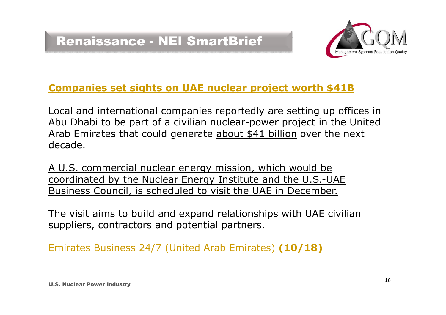

#### **Companies set sights on UAE nuclear project worth \$41B**

Local and international companies reportedly are setting up offices in Abu Dhabi to be part of a civilian nuclear-power project in the United Arab Emirates that could generate about \$41 billion over the next decade.

A U.S. commercial nuclear energy mission, which would be coordinated by the Nuclear Energy Institute and the U.S.-UAE Business Council, is scheduled to visit the UAE in December.

The visit aims to build and expand relationships with UAE civilian suppliers, contractors and potential partners.

Emirates Business 24/7 (United Arab Emirates) **(10/18)**